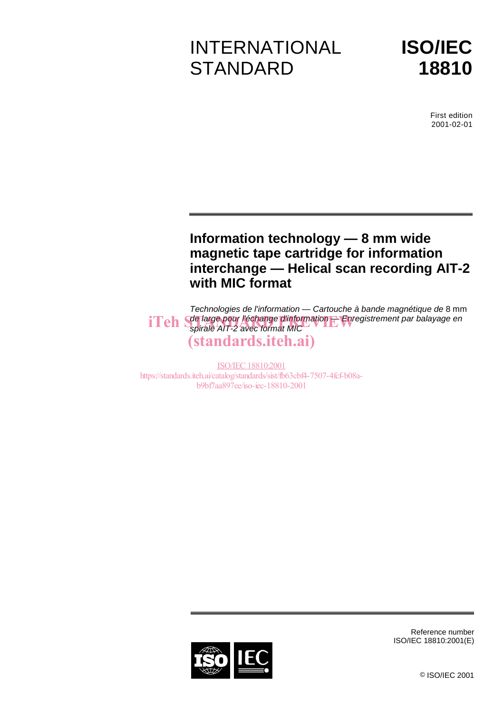# INTERNATIONAL **STANDARD**



First edition 2001-02-01

# **Information technology — 8 mm wide magnetic tape cartridge for information interchange — Helical scan recording AIT-2 with MIC format**

Technologies de l'information — Cartouche à bande magnétique de 8 mm de large pour l'échange d'information — Enregistrement par balayage en  ${\bf iTeh}$  Sde large pour l'échange d'information  $\pm$  Enreg.<br> ${\bf iTeh}$  spirale AIT-2 avec format MIC (standards.iteh.ai)

ISO/IEC 18810:2001 https://standards.iteh.ai/catalog/standards/sist/fb63cbf4-7507-4fcf-b08ab9bf7aa897ee/iso-iec-18810-2001



Reference number ISO/IEC 18810:2001(E)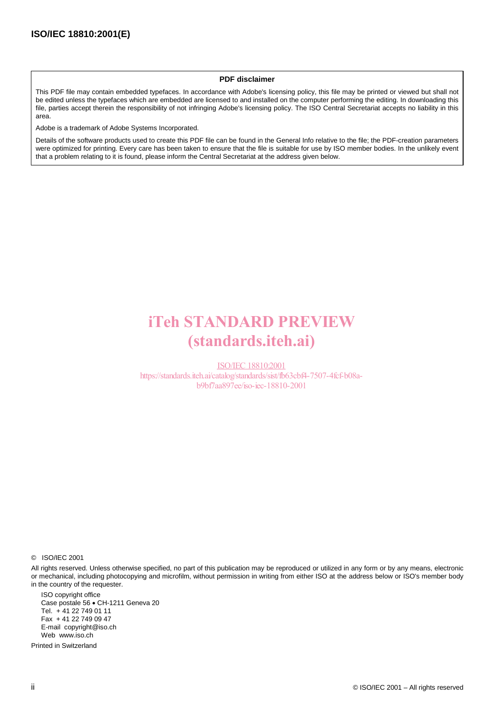#### **PDF disclaimer**

This PDF file may contain embedded typefaces. In accordance with Adobe's licensing policy, this file may be printed or viewed but shall not be edited unless the typefaces which are embedded are licensed to and installed on the computer performing the editing. In downloading this file, parties accept therein the responsibility of not infringing Adobe's licensing policy. The ISO Central Secretariat accepts no liability in this area.

Adobe is a trademark of Adobe Systems Incorporated.

Details of the software products used to create this PDF file can be found in the General Info relative to the file; the PDF-creation parameters were optimized for printing. Every care has been taken to ensure that the file is suitable for use by ISO member bodies. In the unlikely event that a problem relating to it is found, please inform the Central Secretariat at the address given below.

# iTeh STANDARD PREVIEW (standards.iteh.ai)

ISO/IEC 18810:2001 https://standards.iteh.ai/catalog/standards/sist/fb63cbf4-7507-4fcf-b08ab9bf7aa897ee/iso-iec-18810-2001

© ISO/IEC 2001

All rights reserved. Unless otherwise specified, no part of this publication may be reproduced or utilized in any form or by any means, electronic or mechanical, including photocopying and microfilm, without permission in writing from either ISO at the address below or ISO's member body in the country of the requester.

ISO copyright office Case postale 56 · CH-1211 Geneva 20 Tel. + 41 22 749 01 11 Fax + 41 22 749 09 47 E-mail copyright@iso.ch Web www.iso.ch

Printed in Switzerland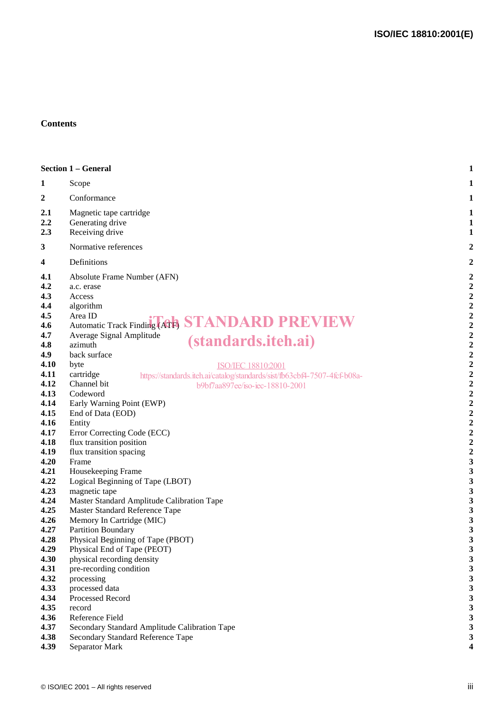#### **Contents**

|                                                                                                                                                                                                                                                                     | <b>Section 1 - General</b>                                                                                                                                                                                                                                                                                                                                                                                                                                                                                                                                                                                                                                                                                                                                                                                                                                                                                                                                         | $\mathbf{1}$                                                                                                                                                                                                                                                                                                                                                                                                                                                              |
|---------------------------------------------------------------------------------------------------------------------------------------------------------------------------------------------------------------------------------------------------------------------|--------------------------------------------------------------------------------------------------------------------------------------------------------------------------------------------------------------------------------------------------------------------------------------------------------------------------------------------------------------------------------------------------------------------------------------------------------------------------------------------------------------------------------------------------------------------------------------------------------------------------------------------------------------------------------------------------------------------------------------------------------------------------------------------------------------------------------------------------------------------------------------------------------------------------------------------------------------------|---------------------------------------------------------------------------------------------------------------------------------------------------------------------------------------------------------------------------------------------------------------------------------------------------------------------------------------------------------------------------------------------------------------------------------------------------------------------------|
| 1                                                                                                                                                                                                                                                                   | Scope                                                                                                                                                                                                                                                                                                                                                                                                                                                                                                                                                                                                                                                                                                                                                                                                                                                                                                                                                              | $\mathbf{1}$                                                                                                                                                                                                                                                                                                                                                                                                                                                              |
| 2                                                                                                                                                                                                                                                                   | Conformance                                                                                                                                                                                                                                                                                                                                                                                                                                                                                                                                                                                                                                                                                                                                                                                                                                                                                                                                                        | $\mathbf{1}$                                                                                                                                                                                                                                                                                                                                                                                                                                                              |
| 2.1<br>2.2<br>2.3                                                                                                                                                                                                                                                   | Magnetic tape cartridge<br>Generating drive<br>Receiving drive                                                                                                                                                                                                                                                                                                                                                                                                                                                                                                                                                                                                                                                                                                                                                                                                                                                                                                     | $\mathbf{1}$<br>$\mathbf{1}$<br>$\mathbf{1}$                                                                                                                                                                                                                                                                                                                                                                                                                              |
| $\mathbf{3}$                                                                                                                                                                                                                                                        | Normative references                                                                                                                                                                                                                                                                                                                                                                                                                                                                                                                                                                                                                                                                                                                                                                                                                                                                                                                                               | 2                                                                                                                                                                                                                                                                                                                                                                                                                                                                         |
| $\overline{\mathbf{4}}$                                                                                                                                                                                                                                             | Definitions                                                                                                                                                                                                                                                                                                                                                                                                                                                                                                                                                                                                                                                                                                                                                                                                                                                                                                                                                        | 2                                                                                                                                                                                                                                                                                                                                                                                                                                                                         |
| 4.1<br>4.2<br>4.3<br>4.4<br>4.5<br>4.6<br>4.7<br>4.8<br>4.9<br>4.10<br>4.11<br>4.12<br>4.13<br>4.14<br>4.15<br>4.16<br>4.17<br>4.18<br>4.19<br>4.20<br>4.21<br>4.22<br>4.23<br>4.24<br>4.25<br>4.26<br>4.27<br>4.28<br>4.29<br>4.30<br>4.31<br>4.32<br>4.33<br>4.34 | Absolute Frame Number (AFN)<br>a.c. erase<br>Access<br>algorithm<br>Area ID<br>Automatic Track Finding (ATA) STANDARD PREVIEW<br>Average Signal Amplitude<br><i>(standards.iteh.ai)</i><br>azimuth<br>back surface<br>byte<br>ISO/IEC 18810:2001<br>cartridge<br>https://standards.iteh.ai/catalog/standards/sist/fb63cbf4-7507-4fcf-b08a-<br>Channel bit<br>b9bf7aa897ee/iso-iec-18810-2001<br>Codeword<br>Early Warning Point (EWP)<br>End of Data (EOD)<br>Entity<br>Error Correcting Code (ECC)<br>flux transition position<br>flux transition spacing<br>Frame<br>Housekeeping Frame<br>Logical Beginning of Tape (LBOT)<br>magnetic tape<br>Master Standard Amplitude Calibration Tape<br>Master Standard Reference Tape<br>Memory In Cartridge (MIC)<br>Partition Boundary<br>Physical Beginning of Tape (PBOT)<br>Physical End of Tape (PEOT)<br>physical recording density<br>pre-recording condition<br>processing<br>processed data<br>Processed Record | $\boldsymbol{2}$<br>$\boldsymbol{2}$<br>$\boldsymbol{2}$<br>$\boldsymbol{2}$<br>$\boldsymbol{2}$<br>$\boldsymbol{2}$<br>$\boldsymbol{2}$<br>$\boldsymbol{2}$<br>$\overline{\mathbf{c}}$<br>$\begin{array}{c} 2 \\ 2 \\ 2 \end{array}$<br>$\overline{2}$<br>$\overline{2}$<br>$\mathbf 2$<br>$\boldsymbol{2}$<br>$\boldsymbol{2}$<br>$\boldsymbol{2}$<br>$\boldsymbol{2}$<br>$\mathbf{3}$<br>3<br>3<br>3<br>3<br>3<br>3<br>3<br>3<br>3<br>3<br>$\mathbf{3}$<br>3<br>3<br>3 |
| 4.35<br>4.36<br>4.37<br>4.38<br>4.39                                                                                                                                                                                                                                | record<br>Reference Field<br>Secondary Standard Amplitude Calibration Tape<br>Secondary Standard Reference Tape<br>Separator Mark                                                                                                                                                                                                                                                                                                                                                                                                                                                                                                                                                                                                                                                                                                                                                                                                                                  | $\mathbf{3}$<br>$\mathbf{3}$<br>$\mathbf{3}$<br>3<br>4                                                                                                                                                                                                                                                                                                                                                                                                                    |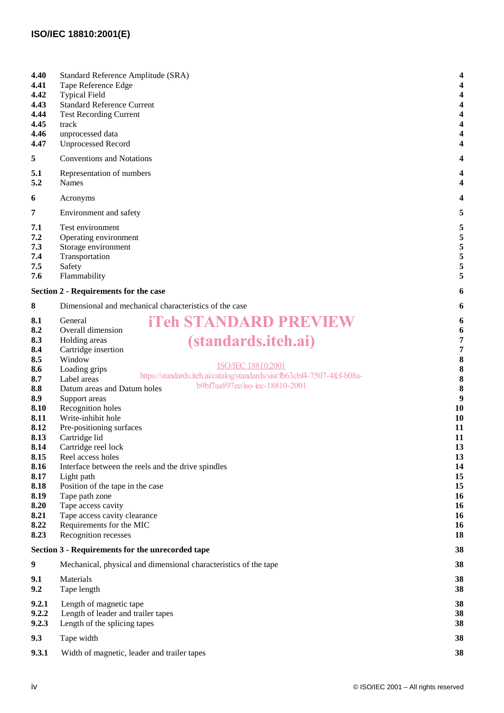### **ISO/IEC 18810:2001(E)**

| 4.40<br>4.41<br>4.42<br>4.43<br>4.44<br>4.45<br>4.46<br>4.47                                                                                                                | Standard Reference Amplitude (SRA)<br>Tape Reference Edge<br><b>Typical Field</b><br><b>Standard Reference Current</b><br><b>Test Recording Current</b><br>track<br>unprocessed data<br><b>Unprocessed Record</b>                                                                                                                                                                                                                                                                                                                                                                                                                                                                                                                          | 4<br>4<br>4<br>4<br>4<br>4<br>4<br>4                                                                                          |
|-----------------------------------------------------------------------------------------------------------------------------------------------------------------------------|--------------------------------------------------------------------------------------------------------------------------------------------------------------------------------------------------------------------------------------------------------------------------------------------------------------------------------------------------------------------------------------------------------------------------------------------------------------------------------------------------------------------------------------------------------------------------------------------------------------------------------------------------------------------------------------------------------------------------------------------|-------------------------------------------------------------------------------------------------------------------------------|
| 5                                                                                                                                                                           | <b>Conventions and Notations</b>                                                                                                                                                                                                                                                                                                                                                                                                                                                                                                                                                                                                                                                                                                           | 4                                                                                                                             |
| 5.1<br>5.2                                                                                                                                                                  | Representation of numbers<br><b>Names</b>                                                                                                                                                                                                                                                                                                                                                                                                                                                                                                                                                                                                                                                                                                  | 4                                                                                                                             |
| 6                                                                                                                                                                           | Acronyms                                                                                                                                                                                                                                                                                                                                                                                                                                                                                                                                                                                                                                                                                                                                   | 4                                                                                                                             |
| 7                                                                                                                                                                           | Environment and safety                                                                                                                                                                                                                                                                                                                                                                                                                                                                                                                                                                                                                                                                                                                     | 5                                                                                                                             |
| 7.1<br>7.2<br>7.3<br>7.4<br>7.5<br>7.6                                                                                                                                      | Test environment<br>Operating environment<br>Storage environment<br>Transportation<br>Safety<br>Flammability                                                                                                                                                                                                                                                                                                                                                                                                                                                                                                                                                                                                                               | 5<br>5<br>5<br>5<br>5<br>5                                                                                                    |
|                                                                                                                                                                             | <b>Section 2 - Requirements for the case</b>                                                                                                                                                                                                                                                                                                                                                                                                                                                                                                                                                                                                                                                                                               | 6                                                                                                                             |
| 8                                                                                                                                                                           | Dimensional and mechanical characteristics of the case                                                                                                                                                                                                                                                                                                                                                                                                                                                                                                                                                                                                                                                                                     | 6                                                                                                                             |
| 8.1<br>8.2<br>8.3<br>8.4<br>8.5<br>8.6<br>8.7<br>8.8<br>8.9<br>8.10<br>8.11<br>8.12<br>8.13<br>8.14<br>8.15<br>8.16<br>8.17<br>8.18<br>8.19<br>8.20<br>8.21<br>8.22<br>8.23 | <b>iTeh STANDARD PREVIEW</b><br>General<br>Overall dimension<br><i>(standards.iteh.ai)</i><br>Holding areas<br>Cartridge insertion<br>Window<br>ISO/IEC 18810:2001<br>Loading grips<br>https://standards.iteh.ai/catalog/standards/sist/fb63cbf4-7507-4fcf-b08a-<br>Label areas<br>b9bf7aa897ee/iso-iec-18810-2001<br>Datum areas and Datum holes<br>Support areas<br>Recognition holes<br>Write-inhibit hole<br>Pre-positioning surfaces<br>Cartridge lid<br>Cartridge reel lock<br>Reel access holes<br>Interface between the reels and the drive spindles<br>Light path<br>Position of the tape in the case<br>Tape path zone<br>Tape access cavity<br>Tape access cavity clearance<br>Requirements for the MIC<br>Recognition recesses | 6<br>6<br>7<br>7<br>8<br>8<br>8<br>8<br>9<br>10<br>10<br>11<br>11<br>13<br>13<br>14<br>15<br>15<br>16<br>16<br>16<br>16<br>18 |
|                                                                                                                                                                             | Section 3 - Requirements for the unrecorded tape                                                                                                                                                                                                                                                                                                                                                                                                                                                                                                                                                                                                                                                                                           | 38                                                                                                                            |
| $\boldsymbol{9}$                                                                                                                                                            | Mechanical, physical and dimensional characteristics of the tape                                                                                                                                                                                                                                                                                                                                                                                                                                                                                                                                                                                                                                                                           | 38                                                                                                                            |
| 9.1<br>9.2                                                                                                                                                                  | Materials<br>Tape length                                                                                                                                                                                                                                                                                                                                                                                                                                                                                                                                                                                                                                                                                                                   | 38<br>38                                                                                                                      |
| 9.2.1<br>9.2.2<br>9.2.3                                                                                                                                                     | Length of magnetic tape<br>Length of leader and trailer tapes<br>Length of the splicing tapes                                                                                                                                                                                                                                                                                                                                                                                                                                                                                                                                                                                                                                              | 38<br>38<br>38                                                                                                                |
| 9.3                                                                                                                                                                         | Tape width                                                                                                                                                                                                                                                                                                                                                                                                                                                                                                                                                                                                                                                                                                                                 | 38                                                                                                                            |
| 9.3.1                                                                                                                                                                       | Width of magnetic, leader and trailer tapes                                                                                                                                                                                                                                                                                                                                                                                                                                                                                                                                                                                                                                                                                                | 38                                                                                                                            |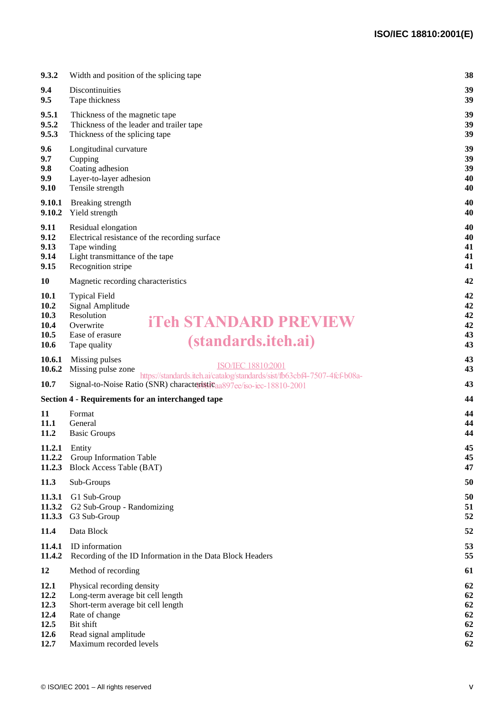| 9.3.2                                               | Width and position of the splicing tape                                                                                                                              | 38                               |
|-----------------------------------------------------|----------------------------------------------------------------------------------------------------------------------------------------------------------------------|----------------------------------|
| 9.4<br>9.5                                          | Discontinuities<br>Tape thickness                                                                                                                                    | 39<br>39                         |
| 9.5.1<br>9.5.2<br>9.5.3                             | Thickness of the magnetic tape<br>Thickness of the leader and trailer tape<br>Thickness of the splicing tape                                                         | 39<br>39<br>39                   |
| 9.6<br>9.7<br>9.8<br>9.9<br>9.10                    | Longitudinal curvature<br>Cupping<br>Coating adhesion<br>Layer-to-layer adhesion<br>Tensile strength                                                                 | 39<br>39<br>39<br>40<br>40       |
| 9.10.1<br>9.10.2                                    | Breaking strength<br>Yield strength                                                                                                                                  | 40<br>40                         |
| 9.11<br>9.12<br>9.13<br>9.14<br>9.15                | Residual elongation<br>Electrical resistance of the recording surface<br>Tape winding<br>Light transmittance of the tape<br>Recognition stripe                       | 40<br>40<br>41<br>41<br>41       |
| 10                                                  | Magnetic recording characteristics                                                                                                                                   | 42                               |
| <b>10.1</b><br>10.2<br>10.3<br>10.4<br>10.5<br>10.6 | <b>Typical Field</b><br>Signal Amplitude<br>Resolution<br><b>iTeh STANDARD PREVIEW</b><br>Overwrite<br>Ease of erasure<br><i>(standards.iteh.ai)</i><br>Tape quality | 42<br>42<br>42<br>42<br>43<br>43 |
| 10.6.1<br>10.6.2                                    | Missing pulses<br><b>ISO/IEC 18810:2001</b><br>Missing pulse zone<br>https://standards.iteh.ai/catalog/standards/sist/fb63cbf4-7507-4fcf-b08a-                       | 43<br>43                         |
| 10.7                                                | Signal-to-Noise Ratio (SNR) characteristicaa897ee/iso-iec-18810-2001                                                                                                 | 43                               |
|                                                     | Section 4 - Requirements for an interchanged tape                                                                                                                    | 44                               |
| 11<br>11.1<br>11.2                                  | Format<br>General<br><b>Basic Groups</b>                                                                                                                             | 44<br>44<br>44                   |
| 11.2.3                                              | $11.2.1$ Entity<br>11.2.2 Group Information Table<br><b>Block Access Table (BAT)</b>                                                                                 | 45<br>45<br>47                   |
| 11.3                                                | Sub-Groups                                                                                                                                                           | 50                               |
| 11.3.1<br>11.3.2<br>11.3.3                          | G1 Sub-Group<br>G2 Sub-Group - Randomizing<br>G3 Sub-Group                                                                                                           | 50<br>51<br>52                   |
| 11.4                                                | Data Block                                                                                                                                                           | 52                               |
| 11.4.1<br>11.4.2                                    | ID information<br>Recording of the ID Information in the Data Block Headers                                                                                          | 53<br>55                         |
| 12                                                  | Method of recording                                                                                                                                                  | 61                               |
| 12.1<br>12.2<br>12.3<br>12.4<br>12.5<br>12.6        | Physical recording density<br>Long-term average bit cell length<br>Short-term average bit cell length<br>Rate of change<br>Bit shift<br>Read signal amplitude        | 62<br>62<br>62<br>62<br>62<br>62 |
| 12.7                                                | Maximum recorded levels                                                                                                                                              | 62                               |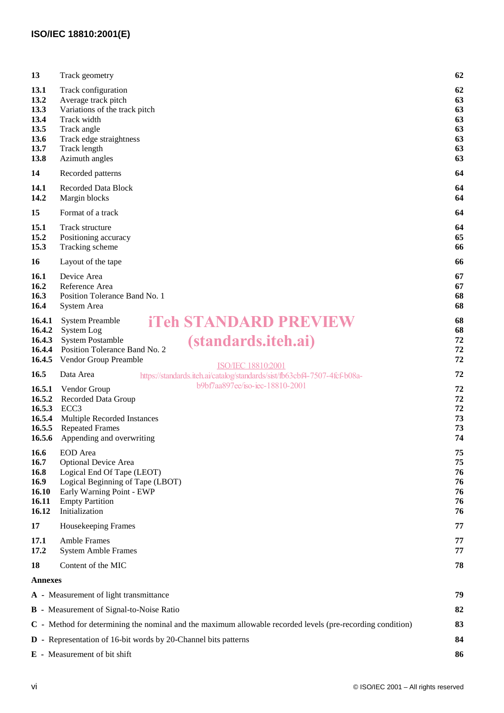| 13                                                                                                               | Track geometry                                                                                                                                                                                                | 62                                           |
|------------------------------------------------------------------------------------------------------------------|---------------------------------------------------------------------------------------------------------------------------------------------------------------------------------------------------------------|----------------------------------------------|
| 13.1<br>13.2<br>13.3<br>13.4<br>13.5<br>13.6<br>13.7<br>13.8                                                     | Track configuration<br>Average track pitch<br>Variations of the track pitch<br>Track width<br>Track angle<br>Track edge straightness<br>Track length<br>Azimuth angles                                        | 62<br>63<br>63<br>63<br>63<br>63<br>63<br>63 |
| 14                                                                                                               | Recorded patterns                                                                                                                                                                                             | 64                                           |
| 14.1<br>14.2                                                                                                     | <b>Recorded Data Block</b><br>Margin blocks                                                                                                                                                                   | 64<br>64                                     |
| 15                                                                                                               | Format of a track                                                                                                                                                                                             | 64                                           |
| 15.1<br>15.2<br>15.3                                                                                             | Track structure<br>Positioning accuracy<br>Tracking scheme                                                                                                                                                    | 64<br>65<br>66                               |
| 16                                                                                                               | Layout of the tape                                                                                                                                                                                            | 66                                           |
| 16.1<br>16.2<br>16.3<br>16.4                                                                                     | Device Area<br>Reference Area<br>Position Tolerance Band No. 1<br>System Area                                                                                                                                 | 67<br>67<br>68<br>68                         |
| 16.4.1<br>16.4.2<br>16.4.3<br>16.4.4<br>16.4.5                                                                   | <b>iTeh STANDARD PREVIEW</b><br><b>System Preamble</b><br>System Log<br><i>(standards.iteh.ai)</i><br><b>System Postamble</b><br>Position Tolerance Band No. 2<br>Vendor Group Preamble<br>ISO/IEC 18810:2001 | 68<br>68<br>72<br>72<br>72                   |
| 16.5                                                                                                             | Data Area<br>https://standards.iteh.ai/catalog/standards/sist/fb63cbf4-7507-4fcf-b08a-                                                                                                                        | 72                                           |
| 16.5.1<br>16.5.2<br>16.5.3<br>16.5.4<br>16.5.5<br>16.5.6                                                         | b9bf7aa897ee/iso-iec-18810-2001<br>Vendor Group<br>Recorded Data Group<br>ECC <sub>3</sub><br>Multiple Recorded Instances<br><b>Repeated Frames</b><br>Appending and overwriting                              | 72<br>72<br>72<br>73<br>73<br>74             |
| 16.6<br>16.7<br>16.8<br>16.9<br>16.10<br>16.11<br>16.12                                                          | EOD Area<br><b>Optional Device Area</b><br>Logical End Of Tape (LEOT)<br>Logical Beginning of Tape (LBOT)<br>Early Warning Point - EWP<br><b>Empty Partition</b><br>Initialization                            | 75<br>75<br>76<br>76<br>76<br>76<br>76       |
| 17                                                                                                               | Housekeeping Frames                                                                                                                                                                                           | 77                                           |
| 17.1<br>17.2                                                                                                     | <b>Amble Frames</b><br><b>System Amble Frames</b>                                                                                                                                                             | 77<br>77                                     |
| 18                                                                                                               | Content of the MIC                                                                                                                                                                                            | 78                                           |
| <b>Annexes</b>                                                                                                   |                                                                                                                                                                                                               |                                              |
| A - Measurement of light transmittance<br>79                                                                     |                                                                                                                                                                                                               |                                              |
| <b>B</b> - Measurement of Signal-to-Noise Ratio<br>82                                                            |                                                                                                                                                                                                               |                                              |
| C - Method for determining the nominal and the maximum allowable recorded levels (pre-recording condition)<br>83 |                                                                                                                                                                                                               |                                              |
| <b>D</b> - Representation of 16-bit words by 20-Channel bits patterns<br>84                                      |                                                                                                                                                                                                               |                                              |
| E - Measurement of bit shift<br>86                                                                               |                                                                                                                                                                                                               |                                              |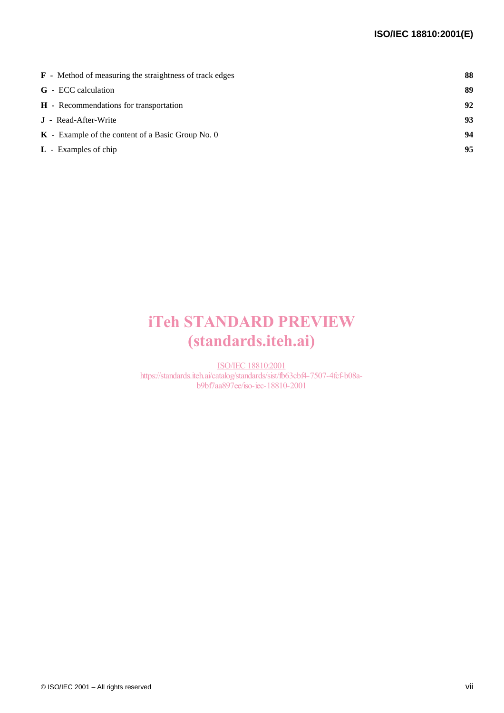| <b>F</b> - Method of measuring the straightness of track edges | 88 |
|----------------------------------------------------------------|----|
| <b>G</b> - ECC calculation                                     | 89 |
| <b>H</b> - Recommendations for transportation                  | 92 |
| <b>J</b> - Read-After-Write                                    | 93 |
| $\mathbf{K}$ - Example of the content of a Basic Group No. 0   | 94 |
| $L$ - Examples of chip                                         | 95 |
|                                                                |    |

# iTeh STANDARD PREVIEW (standards.iteh.ai)

ISO/IEC 18810:2001 https://standards.iteh.ai/catalog/standards/sist/fb63cbf4-7507-4fcf-b08ab9bf7aa897ee/iso-iec-18810-2001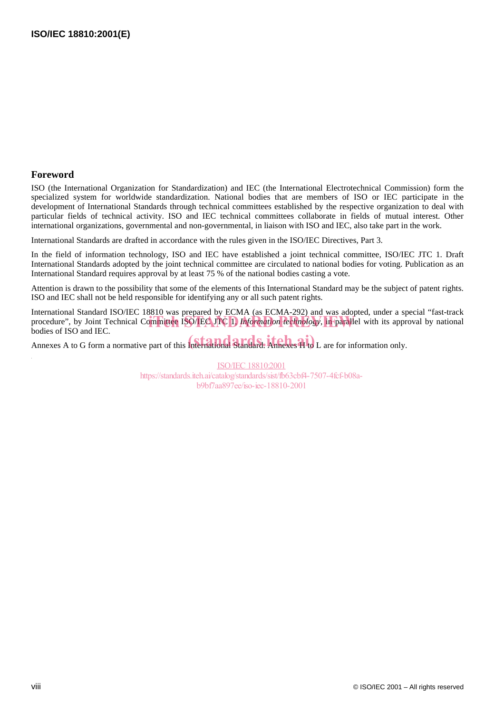#### **Foreword**

ISO (the International Organization for Standardization) and IEC (the International Electrotechnical Commission) form the specialized system for worldwide standardization. National bodies that are members of ISO or IEC participate in the development of International Standards through technical committees established by the respective organization to deal with particular fields of technical activity. ISO and IEC technical committees collaborate in fields of mutual interest. Other international organizations, governmental and non-governmental, in liaison with ISO and IEC, also take part in the work.

International Standards are drafted in accordance with the rules given in the ISO/IEC Directives, Part 3.

In the field of information technology, ISO and IEC have established a joint technical committee, ISO/IEC JTC 1. Draft International Standards adopted by the joint technical committee are circulated to national bodies for voting. Publication as an International Standard requires approval by at least 75 % of the national bodies casting a vote.

Attention is drawn to the possibility that some of the elements of this International Standard may be the subject of patent rights. ISO and IEC shall not be held responsible for identifying any or all such patent rights.

International Standard ISO/IEC 18810 was prepared by ECMA (as ECMA-292) and was adopted, under a special "fast-track procedure", by Joint Technical Committee ISO/IEC JTC 1, *Information technology*, in parallel with its approval by national hodies of ISO and IEC bodies of ISO and IEC.

bodies of iso and inc.<br>Annexes A to G form a normative part of this International Standard. Annexes H to L are for information only.

ISO/IEC 18810:2001 https://standards.iteh.ai/catalog/standards/sist/fb63cbf4-7507-4fcf-b08ab9bf7aa897ee/iso-iec-18810-2001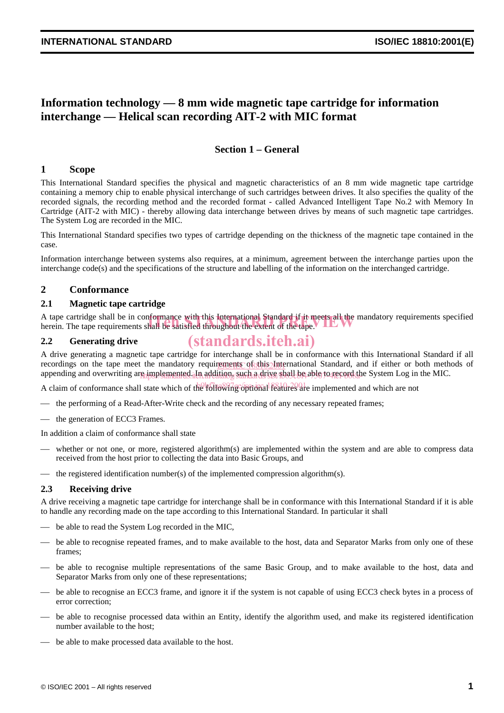## **Information technology — 8 mm wide magnetic tape cartridge for information interchange — Helical scan recording AIT-2 with MIC format**

### **Section 1 – General**

#### **1 Scope**

This International Standard specifies the physical and magnetic characteristics of an 8 mm wide magnetic tape cartridge containing a memory chip to enable physical interchange of such cartridges between drives. It also specifies the quality of the recorded signals, the recording method and the recorded format - called Advanced Intelligent Tape No.2 with Memory In Cartridge (AIT-2 with MIC) - thereby allowing data interchange between drives by means of such magnetic tape cartridges. The System Log are recorded in the MIC.

This International Standard specifies two types of cartridge depending on the thickness of the magnetic tape contained in the case.

Information interchange between systems also requires, at a minimum, agreement between the interchange parties upon the interchange code(s) and the specifications of the structure and labelling of the information on the interchanged cartridge.

#### **2 Conformance**

#### **2.1 Magnetic tape cartridge**

A tape cartridge shall be in conformance with this International Standard if it meets all the mandatory requirements specified A tape cartridge shall be in conformance with this International Standard if it meets all the ma<br>herein. The tape requirements shall be satisfied throughout the extent of the tape.

#### **2.2 Generating drive**

A drive generating a magnetic tape cartridge for interchange shall be in conformance with this International Standard if all recordings on the tape meet the mandatory requirements of this International Standard, and if either or both methods of appending and overwriting are implemented. In addition, such a drive shall be able to record the System Log in the MIC. (standards.iteh.ai)

A claim of conformance shall state which of the following optional features are implemented and which are not

- $\overline{ }$  the performing of a Read-After-Write check and the recording of any necessary repeated frames;
- the generation of ECC3 Frames.

In addition a claim of conformance shall state

- whether or not one, or more, registered algorithm(s) are implemented within the system and are able to compress data received from the host prior to collecting the data into Basic Groups, and
- the registered identification number(s) of the implemented compression algorithm(s).

#### **2.3 Receiving drive**

A drive receiving a magnetic tape cartridge for interchange shall be in conformance with this International Standard if it is able to handle any recording made on the tape according to this International Standard. In particular it shall

- be able to read the System Log recorded in the MIC,
- be able to recognise repeated frames, and to make available to the host, data and Separator Marks from only one of these frames;
- be able to recognise multiple representations of the same Basic Group, and to make available to the host, data and Separator Marks from only one of these representations;
- be able to recognise an ECC3 frame, and ignore it if the system is not capable of using ECC3 check bytes in a process of error correction;
- be able to recognise processed data within an Entity, identify the algorithm used, and make its registered identification number available to the host;
- be able to make processed data available to the host.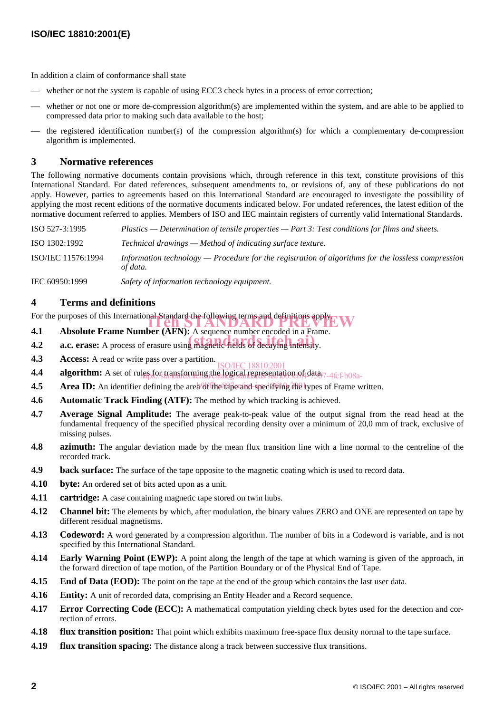In addition a claim of conformance shall state

- whether or not the system is capable of using ECC3 check bytes in a process of error correction;
- whether or not one or more de-compression algorithm(s) are implemented within the system, and are able to be applied to compressed data prior to making such data available to the host;
- the registered identification number(s) of the compression algorithm(s) for which a complementary de-compression algorithm is implemented.

#### **3 Normative references**

The following normative documents contain provisions which, through reference in this text, constitute provisions of this International Standard. For dated references, subsequent amendments to, or revisions of, any of these publications do not apply. However, parties to agreements based on this International Standard are encouraged to investigate the possibility of applying the most recent editions of the normative documents indicated below. For undated references, the latest edition of the normative document referred to applies. Members of ISO and IEC maintain registers of currently valid International Standards.

ISO 527-3:1995 *Plastics — Determination of tensile properties — Part 3: Test conditions for films and sheets.* ISO 1302:1992 *Technical drawings — Method of indicating surface texture.* ISO/IEC 11576:1994 *Information technology — Procedure for the registration of algorithms for the lossless compression of data.*

IEC 60950:1999 *Safety of information technology equipment.*

### **4 Terms and definitions**

For the purposes of this International Standard the following terms and definitions apply.

- **4.1** Absolute Frame Number (AFN): A sequence number encoded in a Frame.
- 4.1 **Absolute Frame Number (AFTV).** A sequence number encoded in a Plan<br>4.2 **a.c. erase:** A process of erasure using magnetic fields of decaying intensity.
- **4.3** Access: A read or write pass over a partition.<br>
<u>ISO/IEC 18810:2001</u>
- **4.4** algorithm: A set of rules for transforming the logical representation of data 7-4fcf-b08a-
- 4.5 Area ID: An identifier defining the area of the tape and specifying the types of Frame written.
- **4.6** Automatic Track Finding (ATF): The method by which tracking is achieved.
- **4.7 Average Signal Amplitude:** The average peak-to-peak value of the output signal from the read head at the fundamental frequency of the specified physical recording density over a minimum of 20,0 mm of track, exclusive of missing pulses.
- **4.8 azimuth:** The angular deviation made by the mean flux transition line with a line normal to the centreline of the recorded track.
- **4.9 back surface:** The surface of the tape opposite to the magnetic coating which is used to record data.
- **4.10 byte:** An ordered set of bits acted upon as a unit.
- **4.11 cartridge:** A case containing magnetic tape stored on twin hubs.
- **4.12** Channel bit: The elements by which, after modulation, the binary values ZERO and ONE are represented on tape by different residual magnetisms.
- **4.13** Codeword: A word generated by a compression algorithm. The number of bits in a Codeword is variable, and is not specified by this International Standard.
- **4.14 Early Warning Point (EWP):** A point along the length of the tape at which warning is given of the approach, in the forward direction of tape motion, of the Partition Boundary or of the Physical End of Tape.
- **4.15** End of Data (EOD): The point on the tape at the end of the group which contains the last user data.
- **4.16 Entity:** A unit of recorded data, comprising an Entity Header and a Record sequence.
- **4.17 Error Correcting Code (ECC):** A mathematical computation yielding check bytes used for the detection and correction of errors.
- **4.18 flux transition position:** That point which exhibits maximum free-space flux density normal to the tape surface.
- **4.19 flux transition spacing:** The distance along a track between successive flux transitions.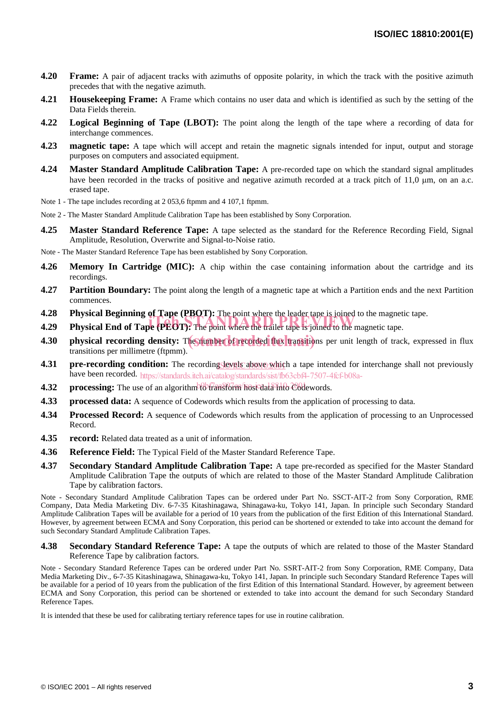- **4.20 Frame:** A pair of adjacent tracks with azimuths of opposite polarity, in which the track with the positive azimuth precedes that with the negative azimuth.
- **4.21 Housekeeping Frame:** A Frame which contains no user data and which is identified as such by the setting of the Data Fields therein.
- **4.22 Logical Beginning of Tape (LBOT):** The point along the length of the tape where a recording of data for interchange commences.
- **4.23 magnetic tape:** A tape which will accept and retain the magnetic signals intended for input, output and storage purposes on computers and associated equipment.
- **4.24 Master Standard Amplitude Calibration Tape:** A pre-recorded tape on which the standard signal amplitudes have been recorded in the tracks of positive and negative azimuth recorded at a track pitch of  $11,0 \mu m$ , on an a.c. erased tape.
- Note 1 The tape includes recording at 2 053.6 ftpmm and 4 107.1 ftpmm.
- Note 2 The Master Standard Amplitude Calibration Tape has been established by Sony Corporation.
- **4.25 Master Standard Reference Tape:** A tape selected as the standard for the Reference Recording Field, Signal Amplitude, Resolution, Overwrite and Signal-to-Noise ratio.
- Note The Master Standard Reference Tape has been established by Sony Corporation.
- **4.26 Memory In Cartridge (MIC):** A chip within the case containing information about the cartridge and its recordings.
- **4.27 Partition Boundary:** The point along the length of a magnetic tape at which a Partition ends and the next Partition commences.
- **4.28 Physical Beginning of Tape (PBOT):** The point where the leader tape is joined to the magnetic tape.
- **4.29 Physical End of Tape (PEOT):** The point where the leader tape is joined to the magnetic tape.
- 4.30 **physical recording density:** The number of recorded flux transitions per unit length of track, expressed in flux transitions per millimetre (ftpmm).
- **4.31** pre-recording condition: The recording Sevels above which a tape intended for interchange shall not previously have been recorded. https://standards.iteh.ai/catalog/standards/sist/fb63cbf4-7507-4fcf-b08a-
- **4.32** processing: The use of an algorithm to transform host data into Codewords.
- **4.33 processed data:** A sequence of Codewords which results from the application of processing to data.
- **4.34 Processed Record:** A sequence of Codewords which results from the application of processing to an Unprocessed Record.
- **4.35 record:** Related data treated as a unit of information.
- **4.36 Reference Field:** The Typical Field of the Master Standard Reference Tape.
- **4.37 Secondary Standard Amplitude Calibration Tape:** A tape pre-recorded as specified for the Master Standard Amplitude Calibration Tape the outputs of which are related to those of the Master Standard Amplitude Calibration Tape by calibration factors.

Note - Secondary Standard Amplitude Calibration Tapes can be ordered under Part No. SSCT-AIT-2 from Sony Corporation, RME Company, Data Media Marketing Div. 6-7-35 Kitashinagawa, Shinagawa-ku, Tokyo 141, Japan. In principle such Secondary Standard Amplitude Calibration Tapes will be available for a period of 10 years from the publication of the first Edition of this International Standard. However, by agreement between ECMA and Sony Corporation, this period can be shortened or extended to take into account the demand for such Secondary Standard Amplitude Calibration Tapes.

**4.38 Secondary Standard Reference Tape:** A tape the outputs of which are related to those of the Master Standard Reference Tape by calibration factors.

Note - Secondary Standard Reference Tapes can be ordered under Part No. SSRT-AIT-2 from Sony Corporation, RME Company, Data Media Marketing Div., 6-7-35 Kitashinagawa, Shinagawa-ku, Tokyo 141, Japan. In principle such Secondary Standard Reference Tapes will be available for a period of 10 years from the publication of the first Edition of this International Standard. However, by agreement between ECMA and Sony Corporation, this period can be shortened or extended to take into account the demand for such Secondary Standard Reference Tapes.

It is intended that these be used for calibrating tertiary reference tapes for use in routine calibration.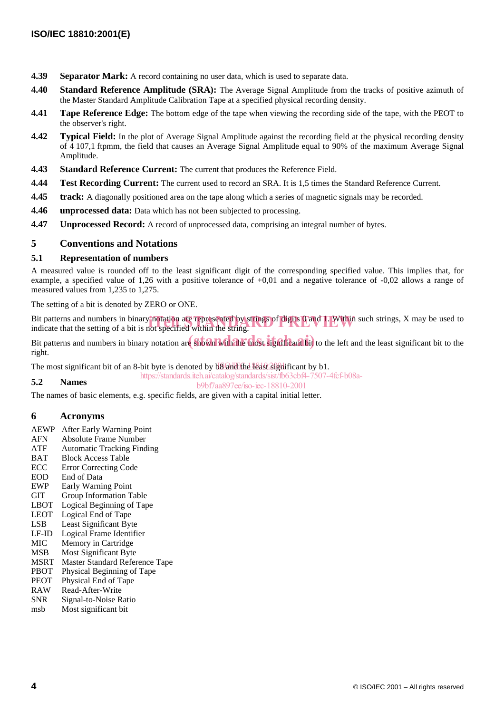- **4.39 Separator Mark:** A record containing no user data, which is used to separate data.
- **4.40 Standard Reference Amplitude (SRA):** The Average Signal Amplitude from the tracks of positive azimuth of the Master Standard Amplitude Calibration Tape at a specified physical recording density.
- **4.41 Tape Reference Edge:** The bottom edge of the tape when viewing the recording side of the tape, with the PEOT to the observer's right.
- **4.42 Typical Field:** In the plot of Average Signal Amplitude against the recording field at the physical recording density of 4 107,1 ftpmm, the field that causes an Average Signal Amplitude equal to 90% of the maximum Average Signal Amplitude.
- **4.43 Standard Reference Current:** The current that produces the Reference Field.
- **4.44 Test Recording Current:** The current used to record an SRA. It is 1,5 times the Standard Reference Current.
- **4.45 track:** A diagonally positioned area on the tape along which a series of magnetic signals may be recorded.
- **4.46 unprocessed data:** Data which has not been subjected to processing.
- **4.47** Unprocessed Record: A record of unprocessed data, comprising an integral number of bytes.

#### **5 Conventions and Notations**

#### **5.1 Representation of numbers**

A measured value is rounded off to the least significant digit of the corresponding specified value. This implies that, for example, a specified value of 1,26 with a positive tolerance of +0,01 and a negative tolerance of -0,02 allows a range of measured values from 1,235 to 1,275.

The setting of a bit is denoted by ZERO or ONE.

Bit patterns and numbers in binary notation are represented by strings of digits 0 and 1. Within such strings, X may be used to indicate that the setting of a bit is not specified within the string. indicate that the setting of a bit is not specified within the string.

Bit patterns and numbers in binary notation are shown with the most significant bit to the left and the least significant bit to the right.

The most significant bit of an 8-bit byte is denoted by  $b\$ and the least significant by b1.

#### https://standards.iteh.ai/catalog/standards/sist/fb63cbf4-7507-4fcf-b08a-

#### **5.2 Names**

b9bf7aa897ee/iso-iec-18810-2001

The names of basic elements, e.g. specific fields, are given with a capital initial letter.

#### **6 Acronyms**

- AEWP After Early Warning Point
- AFN Absolute Frame Number
- ATF Automatic Tracking Finding
- BAT Block Access Table
- ECC Error Correcting Code
- EOD End of Data<br>EWP Early Warni
- Early Warning Point
- GIT Group Information Table
- LBOT Logical Beginning of Tape
- LEOT Logical End of Tape
- LSB Least Significant Byte LF-ID Logical Frame Identifier
- 
- MIC Memory in Cartridge MSB Most Significant Byte
- MSRT Master Standard Reference Tape
- PBOT Physical Beginning of Tape
- PEOT Physical End of Tape
- 
- RAW Read-After-Write<br>SNR Signal-to-Noise R Signal-to-Noise Ratio
- msb Most significant bit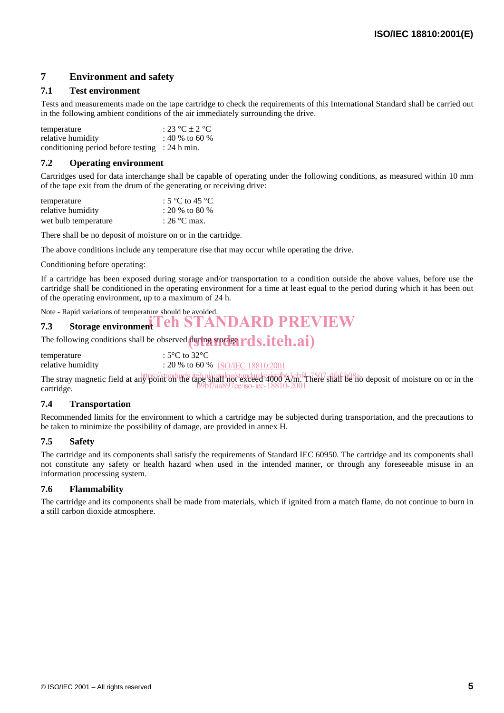### **7 Environment and safety**

#### **7.1 Test environment**

Tests and measurements made on the tape cartridge to check the requirements of this International Standard shall be carried out in the following ambient conditions of the air immediately surrounding the drive.

| temperature                                               | : 23 °C $\pm$ 2 °C |
|-----------------------------------------------------------|--------------------|
| relative humidity                                         | : 40 % to 60 %     |
| conditioning period before testing $\therefore$ 24 h min. |                    |

#### **7.2 Operating environment**

Cartridges used for data interchange shall be capable of operating under the following conditions, as measured within 10 mm of the tape exit from the drum of the generating or receiving drive:

| temperature          | : 5 °C to 45 °C       |
|----------------------|-----------------------|
| relative humidity    | : 20 % to 80 %        |
| wet bulb temperature | : $26^{\circ}$ C max. |

There shall be no deposit of moisture on or in the cartridge.

The above conditions include any temperature rise that may occur while operating the drive.

Conditioning before operating:

If a cartridge has been exposed during storage and/or transportation to a condition outside the above values, before use the cartridge shall be conditioned in the operating environment for a time at least equal to the period during which it has been out of the operating environment, up to a maximum of 24 h.

### Note - Rapid variations of temperature should be avoided. **7.3** Storage environment Teh STANDARD PREVIEW

The following conditions shall be observed  $\left(\frac{\partial \mathbf{u}}{\partial \mathbf{g}}\right)$  storage  $rds.iteh.ai)$ 

| temperature       | : 5°C to 32°C                     |
|-------------------|-----------------------------------|
| relative humidity | : 20 % to 60 % ISO/IEC 18810:2001 |
|                   |                                   |

The stray magnetic field at any point on the tape shall not exceed 4000 A/m. There shall be no deposit of moisture on or in the cartridge. b9bf7aa897ee/iso-iec-18810-2001

#### **7.4 Transportation**

Recommended limits for the environment to which a cartridge may be subjected during transportation, and the precautions to be taken to minimize the possibility of damage, are provided in annex H.

#### **7.5 Safety**

The cartridge and its components shall satisfy the requirements of Standard IEC 60950. The cartridge and its components shall not constitute any safety or health hazard when used in the intended manner, or through any foreseeable misuse in an information processing system.

#### **7.6 Flammability**

The cartridge and its components shall be made from materials, which if ignited from a match flame, do not continue to burn in a still carbon dioxide atmosphere.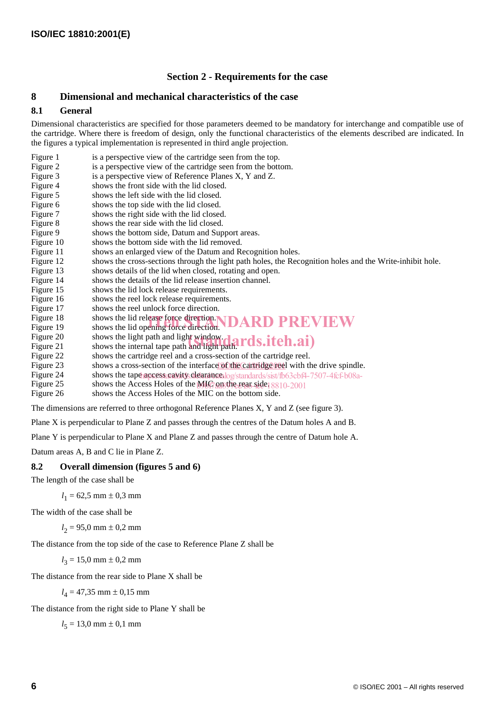#### **Section 2 - Requirements for the case**

#### **8 Dimensional and mechanical characteristics of the case**

#### **8.1 General**

Dimensional characteristics are specified for those parameters deemed to be mandatory for interchange and compatible use of the cartridge. Where there is freedom of design, only the functional characteristics of the elements described are indicated. In the figures a typical implementation is represented in third angle projection.

- Figure 1 is a perspective view of the cartridge seen from the top.<br>Figure 2 is a perspective view of the cartridge seen from the bott
- is a perspective view of the cartridge seen from the bottom.
- Figure 3 is a perspective view of Reference Planes X, Y and Z.
- Figure 4 shows the front side with the lid closed.
- Figure 5 shows the left side with the lid closed.
- Figure 6 shows the top side with the lid closed.
- Figure 7 shows the right side with the lid closed.
- Figure 8 shows the rear side with the lid closed.
- Figure 9 shows the bottom side, Datum and Support areas.<br>Figure 10 shows the bottom side with the lid removed.
- shows the bottom side with the lid removed.
- Figure 11 shows an enlarged view of the Datum and Recognition holes.
- Figure 12 shows the cross-sections through the light path holes, the Recognition holes and the Write-inhibit hole.
- Figure 13 shows details of the lid when closed, rotating and open.
- Figure 14 shows the details of the lid release insertion channel.
- Figure 15 shows the lid lock release requirements.<br>Figure 16 shows the reel lock release requirements
- shows the reel lock release requirements.
- Figure 17 shows the reel unlock force direction.
- Figure 18 shows the lid release force direction. Figure 18 shows the lid release force direction. **IDARD PREVIEW**<br>Figure 19 shows the lid opening force direction. **IDARD PREVIEW**
- 
- Figure 20 shows the light path and light window. Figure 20 shows the light path and light window.<br>
Figure 21 shows the internal tape path and light path.  $rds.iteh.ai)$
- 
- Figure 22 shows the cartridge reel and a cross-section of the cartridge reel.<br>Figure 23 shows a cross-section of the interface of the cartridge reel with the
- Figure 23 shows a cross-section of the interface of the cartridge reel with the drive spindle.
- Figure 24 shows the tape ages stands to determine alog/standards/sist/fb63cbf4-7507-4fcf-b08a-
- Figure 25 shows the Access Holes of the MIC on the rear side. 18810-2001
- Figure 26 shows the Access Holes of the MIC on the bottom side.

The dimensions are referred to three orthogonal Reference Planes X, Y and Z (see figure 3).

Plane X is perpendicular to Plane Z and passes through the centres of the Datum holes A and B.

Plane Y is perpendicular to Plane X and Plane Z and passes through the centre of Datum hole A.

Datum areas A, B and C lie in Plane Z.

#### **8.2 Overall dimension (figures 5 and 6)**

The length of the case shall be

 $l_1 = 62,5$  mm  $\pm 0,3$  mm

The width of the case shall be

$$
l_2 = 95.0 \text{ mm} \pm 0.2 \text{ mm}
$$

The distance from the top side of the case to Reference Plane Z shall be

 $l_3 = 15,0$  mm  $\pm 0,2$  mm

The distance from the rear side to Plane X shall be

 $l_4 = 47,35$  mm  $\pm 0,15$  mm

The distance from the right side to Plane Y shall be

 $l_5 = 13,0$  mm  $\pm 0,1$  mm